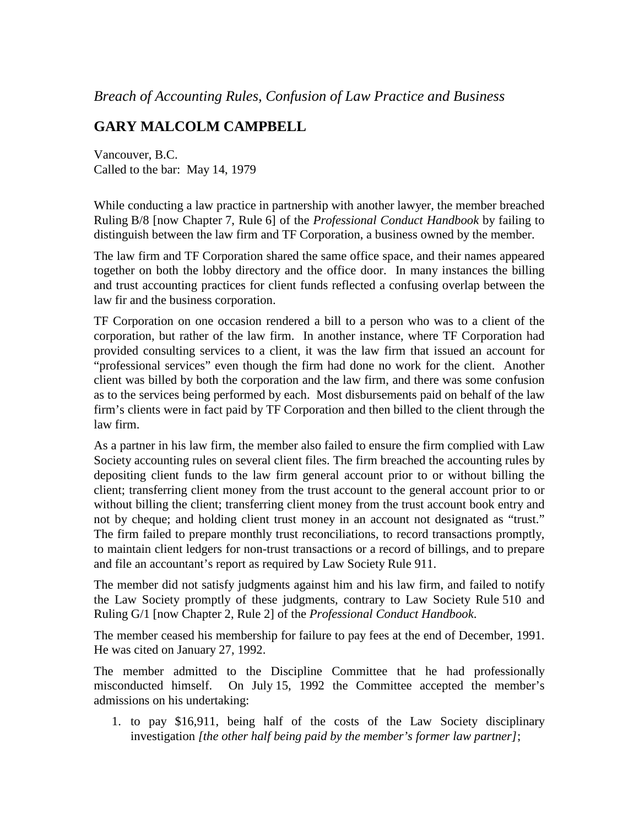## **GARY MALCOLM CAMPBELL**

Vancouver, B.C. Called to the bar: May 14, 1979

While conducting a law practice in partnership with another lawyer, the member breached Ruling B/8 [now Chapter 7, Rule 6] of the *Professional Conduct Handbook* by failing to distinguish between the law firm and TF Corporation, a business owned by the member.

The law firm and TF Corporation shared the same office space, and their names appeared together on both the lobby directory and the office door. In many instances the billing and trust accounting practices for client funds reflected a confusing overlap between the law fir and the business corporation.

TF Corporation on one occasion rendered a bill to a person who was to a client of the corporation, but rather of the law firm. In another instance, where TF Corporation had provided consulting services to a client, it was the law firm that issued an account for "professional services" even though the firm had done no work for the client. Another client was billed by both the corporation and the law firm, and there was some confusion as to the services being performed by each. Most disbursements paid on behalf of the law firm's clients were in fact paid by TF Corporation and then billed to the client through the law firm.

As a partner in his law firm, the member also failed to ensure the firm complied with Law Society accounting rules on several client files. The firm breached the accounting rules by depositing client funds to the law firm general account prior to or without billing the client; transferring client money from the trust account to the general account prior to or without billing the client; transferring client money from the trust account book entry and not by cheque; and holding client trust money in an account not designated as "trust." The firm failed to prepare monthly trust reconciliations, to record transactions promptly, to maintain client ledgers for non-trust transactions or a record of billings, and to prepare and file an accountant's report as required by Law Society Rule 911.

The member did not satisfy judgments against him and his law firm, and failed to notify the Law Society promptly of these judgments, contrary to Law Society Rule 510 and Ruling G/1 [now Chapter 2, Rule 2] of the *Professional Conduct Handbook*.

The member ceased his membership for failure to pay fees at the end of December, 1991. He was cited on January 27, 1992.

The member admitted to the Discipline Committee that he had professionally misconducted himself. On July 15, 1992 the Committee accepted the member's admissions on his undertaking:

1. to pay \$16,911, being half of the costs of the Law Society disciplinary investigation *[the other half being paid by the member's former law partner]*;